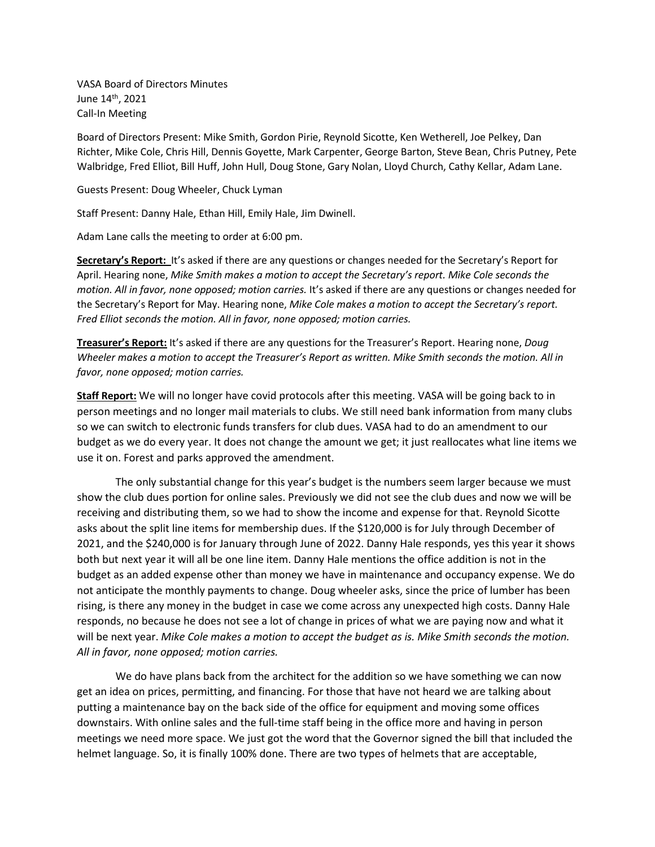VASA Board of Directors Minutes June 14th, 2021 Call-In Meeting

Board of Directors Present: Mike Smith, Gordon Pirie, Reynold Sicotte, Ken Wetherell, Joe Pelkey, Dan Richter, Mike Cole, Chris Hill, Dennis Goyette, Mark Carpenter, George Barton, Steve Bean, Chris Putney, Pete Walbridge, Fred Elliot, Bill Huff, John Hull, Doug Stone, Gary Nolan, Lloyd Church, Cathy Kellar, Adam Lane.

Guests Present: Doug Wheeler, Chuck Lyman

Staff Present: Danny Hale, Ethan Hill, Emily Hale, Jim Dwinell.

Adam Lane calls the meeting to order at 6:00 pm.

**Secretary's Report:** It's asked if there are any questions or changes needed for the Secretary's Report for April. Hearing none, *Mike Smith makes a motion to accept the Secretary's report. Mike Cole seconds the motion. All in favor, none opposed; motion carries.* It's asked if there are any questions or changes needed for the Secretary's Report for May. Hearing none, *Mike Cole makes a motion to accept the Secretary's report. Fred Elliot seconds the motion. All in favor, none opposed; motion carries.*

**Treasurer's Report:** It's asked if there are any questions for the Treasurer's Report. Hearing none, *Doug Wheeler makes a motion to accept the Treasurer's Report as written. Mike Smith seconds the motion. All in favor, none opposed; motion carries.*

**Staff Report:** We will no longer have covid protocols after this meeting. VASA will be going back to in person meetings and no longer mail materials to clubs. We still need bank information from many clubs so we can switch to electronic funds transfers for club dues. VASA had to do an amendment to our budget as we do every year. It does not change the amount we get; it just reallocates what line items we use it on. Forest and parks approved the amendment.

The only substantial change for this year's budget is the numbers seem larger because we must show the club dues portion for online sales. Previously we did not see the club dues and now we will be receiving and distributing them, so we had to show the income and expense for that. Reynold Sicotte asks about the split line items for membership dues. If the \$120,000 is for July through December of 2021, and the \$240,000 is for January through June of 2022. Danny Hale responds, yes this year it shows both but next year it will all be one line item. Danny Hale mentions the office addition is not in the budget as an added expense other than money we have in maintenance and occupancy expense. We do not anticipate the monthly payments to change. Doug wheeler asks, since the price of lumber has been rising, is there any money in the budget in case we come across any unexpected high costs. Danny Hale responds, no because he does not see a lot of change in prices of what we are paying now and what it will be next year. *Mike Cole makes a motion to accept the budget as is. Mike Smith seconds the motion. All in favor, none opposed; motion carries.*

We do have plans back from the architect for the addition so we have something we can now get an idea on prices, permitting, and financing. For those that have not heard we are talking about putting a maintenance bay on the back side of the office for equipment and moving some offices downstairs. With online sales and the full-time staff being in the office more and having in person meetings we need more space. We just got the word that the Governor signed the bill that included the helmet language. So, it is finally 100% done. There are two types of helmets that are acceptable,